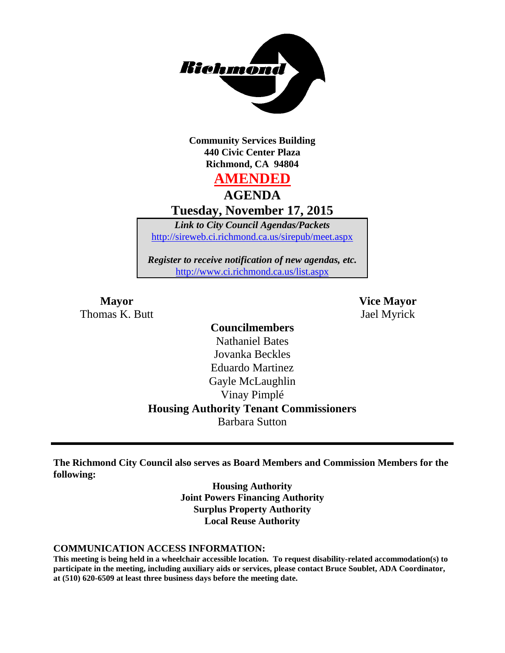

**Community Services Building 440 Civic Center Plaza Richmond, CA 94804**

# **AMENDED**

**AGENDA**

**Tuesday, November 17, 2015**

*Link to City Council Agendas/Packets* <http://sireweb.ci.richmond.ca.us/sirepub/meet.aspx>

*Register to receive notification of new agendas, etc.* <http://www.ci.richmond.ca.us/list.aspx>

Thomas K. Butt Jael Myrick

**Mayor Vice Mayor**

# **Councilmembers**

Nathaniel Bates Jovanka Beckles Eduardo Martinez Gayle McLaughlin Vinay Pimplé **Housing Authority Tenant Commissioners** Barbara Sutton

**The Richmond City Council also serves as Board Members and Commission Members for the following:**

> **Housing Authority Joint Powers Financing Authority Surplus Property Authority Local Reuse Authority**

#### **COMMUNICATION ACCESS INFORMATION:**

**This meeting is being held in a wheelchair accessible location. To request disability-related accommodation(s) to participate in the meeting, including auxiliary aids or services, please contact Bruce Soublet, ADA Coordinator, at (510) 620-6509 at least three business days before the meeting date.**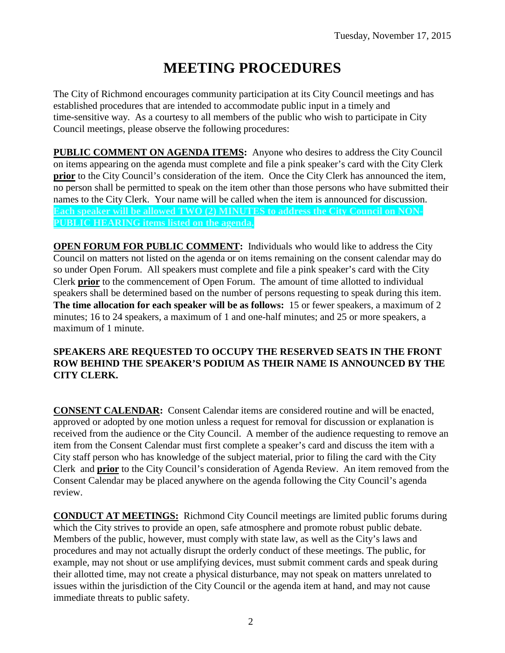# **MEETING PROCEDURES**

The City of Richmond encourages community participation at its City Council meetings and has established procedures that are intended to accommodate public input in a timely and time-sensitive way. As a courtesy to all members of the public who wish to participate in City Council meetings, please observe the following procedures:

**PUBLIC COMMENT ON AGENDA ITEMS:** Anyone who desires to address the City Council on items appearing on the agenda must complete and file a pink speaker's card with the City Clerk **prior** to the City Council's consideration of the item. Once the City Clerk has announced the item, no person shall be permitted to speak on the item other than those persons who have submitted their names to the City Clerk. Your name will be called when the item is announced for discussion. **Each speaker will be allowed TWO (2) MINUTES to address the City Council on NON-PUBLIC HEARING items listed on the agenda.**

**OPEN FORUM FOR PUBLIC COMMENT:** Individuals who would like to address the City Council on matters not listed on the agenda or on items remaining on the consent calendar may do so under Open Forum. All speakers must complete and file a pink speaker's card with the City Clerk **prior** to the commencement of Open Forum. The amount of time allotted to individual speakers shall be determined based on the number of persons requesting to speak during this item. **The time allocation for each speaker will be as follows:** 15 or fewer speakers, a maximum of 2 minutes; 16 to 24 speakers, a maximum of 1 and one-half minutes; and 25 or more speakers, a maximum of 1 minute.

#### **SPEAKERS ARE REQUESTED TO OCCUPY THE RESERVED SEATS IN THE FRONT ROW BEHIND THE SPEAKER'S PODIUM AS THEIR NAME IS ANNOUNCED BY THE CITY CLERK.**

**CONSENT CALENDAR:** Consent Calendar items are considered routine and will be enacted, approved or adopted by one motion unless a request for removal for discussion or explanation is received from the audience or the City Council. A member of the audience requesting to remove an item from the Consent Calendar must first complete a speaker's card and discuss the item with a City staff person who has knowledge of the subject material, prior to filing the card with the City Clerk and **prior** to the City Council's consideration of Agenda Review. An item removed from the Consent Calendar may be placed anywhere on the agenda following the City Council's agenda review.

**CONDUCT AT MEETINGS:** Richmond City Council meetings are limited public forums during which the City strives to provide an open, safe atmosphere and promote robust public debate. Members of the public, however, must comply with state law, as well as the City's laws and procedures and may not actually disrupt the orderly conduct of these meetings. The public, for example, may not shout or use amplifying devices, must submit comment cards and speak during their allotted time, may not create a physical disturbance, may not speak on matters unrelated to issues within the jurisdiction of the City Council or the agenda item at hand, and may not cause immediate threats to public safety.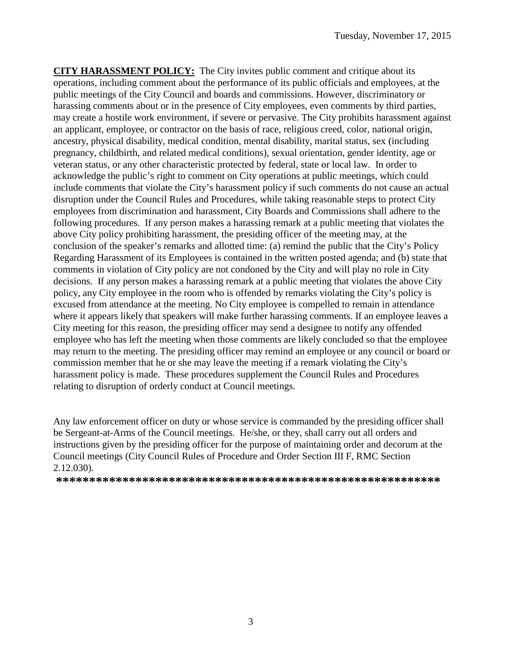**CITY HARASSMENT POLICY:** The City invites public comment and critique about its operations, including comment about the performance of its public officials and employees, at the public meetings of the City Council and boards and commissions. However, discriminatory or harassing comments about or in the presence of City employees, even comments by third parties, may create a hostile work environment, if severe or pervasive. The City prohibits harassment against an applicant, employee, or contractor on the basis of race, religious creed, color, national origin, ancestry, physical disability, medical condition, mental disability, marital status, sex (including pregnancy, childbirth, and related medical conditions), sexual orientation, gender identity, age or veteran status, or any other characteristic protected by federal, state or local law. In order to acknowledge the public's right to comment on City operations at public meetings, which could include comments that violate the City's harassment policy if such comments do not cause an actual disruption under the Council Rules and Procedures, while taking reasonable steps to protect City employees from discrimination and harassment, City Boards and Commissions shall adhere to the following procedures. If any person makes a harassing remark at a public meeting that violates the above City policy prohibiting harassment, the presiding officer of the meeting may, at the conclusion of the speaker's remarks and allotted time: (a) remind the public that the City's Policy Regarding Harassment of its Employees is contained in the written posted agenda; and (b) state that comments in violation of City policy are not condoned by the City and will play no role in City decisions. If any person makes a harassing remark at a public meeting that violates the above City policy, any City employee in the room who is offended by remarks violating the City's policy is excused from attendance at the meeting. No City employee is compelled to remain in attendance where it appears likely that speakers will make further harassing comments. If an employee leaves a City meeting for this reason, the presiding officer may send a designee to notify any offended employee who has left the meeting when those comments are likely concluded so that the employee may return to the meeting. The presiding officer may remind an employee or any council or board or commission member that he or she may leave the meeting if a remark violating the City's harassment policy is made. These procedures supplement the Council Rules and Procedures relating to disruption of orderly conduct at Council meetings.

Any law enforcement officer on duty or whose service is commanded by the presiding officer shall be Sergeant-at-Arms of the Council meetings. He/she, or they, shall carry out all orders and instructions given by the presiding officer for the purpose of maintaining order and decorum at the Council meetings (City Council Rules of Procedure and Order Section III F, RMC Section 2.12.030).

**\*\*\*\*\*\*\*\*\*\*\*\*\*\*\*\*\*\*\*\*\*\*\*\*\*\*\*\*\*\*\*\*\*\*\*\*\*\*\*\*\*\*\*\*\*\*\*\*\*\*\*\*\*\*\*\*\*\***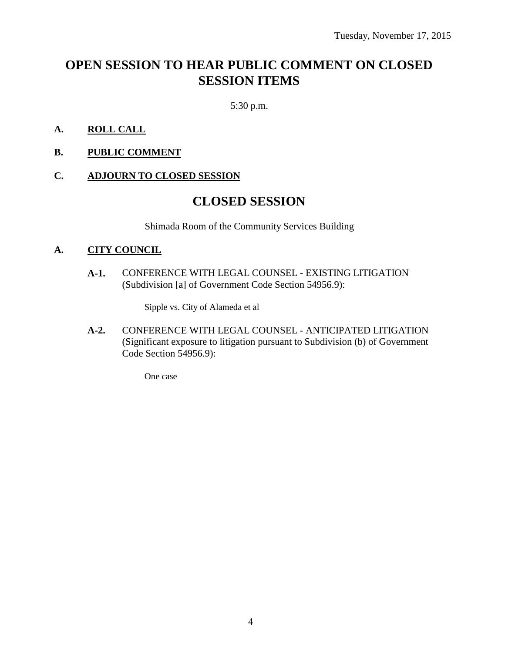# **OPEN SESSION TO HEAR PUBLIC COMMENT ON CLOSED SESSION ITEMS**

5:30 p.m.

- **A. ROLL CALL**
- **B. PUBLIC COMMENT**

#### **C. ADJOURN TO CLOSED SESSION**

## **CLOSED SESSION**

Shimada Room of the Community Services Building

#### **A. CITY COUNCIL**

**A-1.** CONFERENCE WITH LEGAL COUNSEL - EXISTING LITIGATION (Subdivision [a] of Government Code Section 54956.9):

Sipple vs. City of Alameda et al

**A-2.** CONFERENCE WITH LEGAL COUNSEL - ANTICIPATED LITIGATION (Significant exposure to litigation pursuant to Subdivision (b) of Government Code Section 54956.9):

One case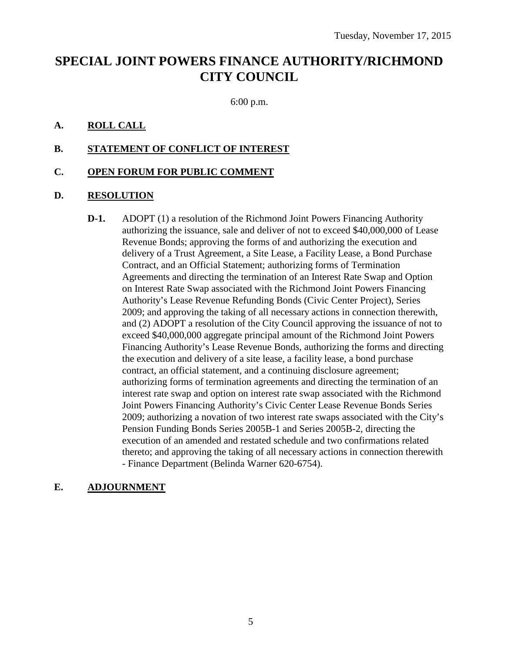# **SPECIAL JOINT POWERS FINANCE AUTHORITY/RICHMOND CITY COUNCIL**

6:00 p.m.

#### **A. ROLL CALL**

#### **B. STATEMENT OF CONFLICT OF INTEREST**

#### **C. OPEN FORUM FOR PUBLIC COMMENT**

#### **D. RESOLUTION**

**D-1.** ADOPT (1) a resolution of the Richmond Joint Powers Financing Authority authorizing the issuance, sale and deliver of not to exceed \$40,000,000 of Lease Revenue Bonds; approving the forms of and authorizing the execution and delivery of a Trust Agreement, a Site Lease, a Facility Lease, a Bond Purchase Contract, and an Official Statement; authorizing forms of Termination Agreements and directing the termination of an Interest Rate Swap and Option on Interest Rate Swap associated with the Richmond Joint Powers Financing Authority's Lease Revenue Refunding Bonds (Civic Center Project), Series 2009; and approving the taking of all necessary actions in connection therewith, and (2) ADOPT a resolution of the City Council approving the issuance of not to exceed \$40,000,000 aggregate principal amount of the Richmond Joint Powers Financing Authority's Lease Revenue Bonds, authorizing the forms and directing the execution and delivery of a site lease, a facility lease, a bond purchase contract, an official statement, and a continuing disclosure agreement; authorizing forms of termination agreements and directing the termination of an interest rate swap and option on interest rate swap associated with the Richmond Joint Powers Financing Authority's Civic Center Lease Revenue Bonds Series 2009; authorizing a novation of two interest rate swaps associated with the City's Pension Funding Bonds Series 2005B-1 and Series 2005B-2, directing the execution of an amended and restated schedule and two confirmations related thereto; and approving the taking of all necessary actions in connection therewith - Finance Department (Belinda Warner 620-6754).

### **E. ADJOURNMENT**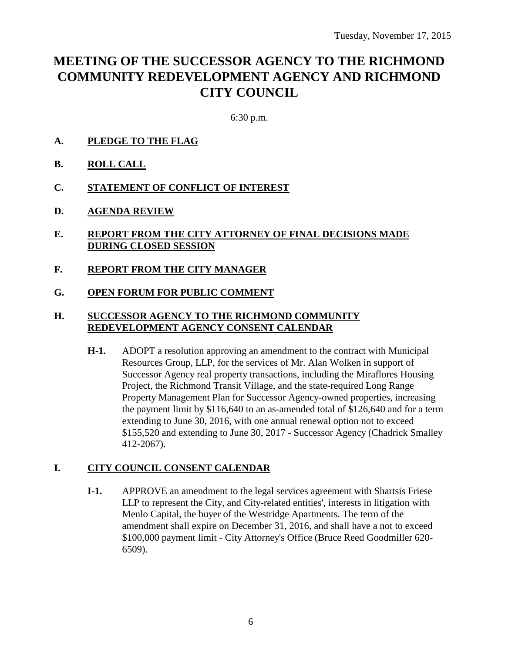# **MEETING OF THE SUCCESSOR AGENCY TO THE RICHMOND COMMUNITY REDEVELOPMENT AGENCY AND RICHMOND CITY COUNCIL**

6:30 p.m.

- **A. PLEDGE TO THE FLAG**
- **B. ROLL CALL**
- **C. STATEMENT OF CONFLICT OF INTEREST**
- **D. AGENDA REVIEW**
- **E. REPORT FROM THE CITY ATTORNEY OF FINAL DECISIONS MADE DURING CLOSED SESSION**
- **F. REPORT FROM THE CITY MANAGER**
- **G. OPEN FORUM FOR PUBLIC COMMENT**

#### **H. SUCCESSOR AGENCY TO THE RICHMOND COMMUNITY REDEVELOPMENT AGENCY CONSENT CALENDAR**

**H-1.** ADOPT a resolution approving an amendment to the contract with Municipal Resources Group, LLP, for the services of Mr. Alan Wolken in support of Successor Agency real property transactions, including the Miraflores Housing Project, the Richmond Transit Village, and the state-required Long Range Property Management Plan for Successor Agency-owned properties, increasing the payment limit by \$116,640 to an as-amended total of \$126,640 and for a term extending to June 30, 2016, with one annual renewal option not to exceed \$155,520 and extending to June 30, 2017 - Successor Agency (Chadrick Smalley 412-2067).

#### **I. CITY COUNCIL CONSENT CALENDAR**

**I-1.** APPROVE an amendment to the legal services agreement with Shartsis Friese LLP to represent the City, and City-related entities', interests in litigation with Menlo Capital, the buyer of the Westridge Apartments. The term of the amendment shall expire on December 31, 2016, and shall have a not to exceed \$100,000 payment limit - City Attorney's Office (Bruce Reed Goodmiller 620- 6509).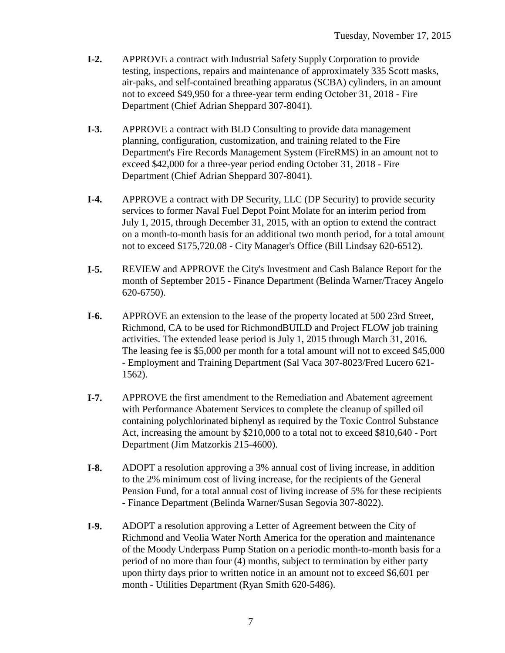- **I-2.** APPROVE a contract with Industrial Safety Supply Corporation to provide testing, inspections, repairs and maintenance of approximately 335 Scott masks, air-paks, and self-contained breathing apparatus (SCBA) cylinders, in an amount not to exceed \$49,950 for a three-year term ending October 31, 2018 - Fire Department (Chief Adrian Sheppard 307-8041).
- **I-3.** APPROVE a contract with BLD Consulting to provide data management planning, configuration, customization, and training related to the Fire Department's Fire Records Management System (FireRMS) in an amount not to exceed \$42,000 for a three-year period ending October 31, 2018 - Fire Department (Chief Adrian Sheppard 307-8041).
- **I-4.** APPROVE a contract with DP Security, LLC (DP Security) to provide security services to former Naval Fuel Depot Point Molate for an interim period from July 1, 2015, through December 31, 2015, with an option to extend the contract on a month-to-month basis for an additional two month period, for a total amount not to exceed \$175,720.08 - City Manager's Office (Bill Lindsay 620-6512).
- **I-5.** REVIEW and APPROVE the City's Investment and Cash Balance Report for the month of September 2015 - Finance Department (Belinda Warner/Tracey Angelo 620-6750).
- **I-6.** APPROVE an extension to the lease of the property located at 500 23rd Street, Richmond, CA to be used for RichmondBUILD and Project FLOW job training activities. The extended lease period is July 1, 2015 through March 31, 2016. The leasing fee is \$5,000 per month for a total amount will not to exceed \$45,000 - Employment and Training Department (Sal Vaca 307-8023/Fred Lucero 621- 1562).
- **I-7.** APPROVE the first amendment to the Remediation and Abatement agreement with Performance Abatement Services to complete the cleanup of spilled oil containing polychlorinated biphenyl as required by the Toxic Control Substance Act, increasing the amount by \$210,000 to a total not to exceed \$810,640 - Port Department (Jim Matzorkis 215-4600).
- **I-8.** ADOPT a resolution approving a 3% annual cost of living increase, in addition to the 2% minimum cost of living increase, for the recipients of the General Pension Fund, for a total annual cost of living increase of 5% for these recipients - Finance Department (Belinda Warner/Susan Segovia 307-8022).
- **I-9.** ADOPT a resolution approving a Letter of Agreement between the City of Richmond and Veolia Water North America for the operation and maintenance of the Moody Underpass Pump Station on a periodic month-to-month basis for a period of no more than four (4) months, subject to termination by either party upon thirty days prior to written notice in an amount not to exceed \$6,601 per month - Utilities Department (Ryan Smith 620-5486).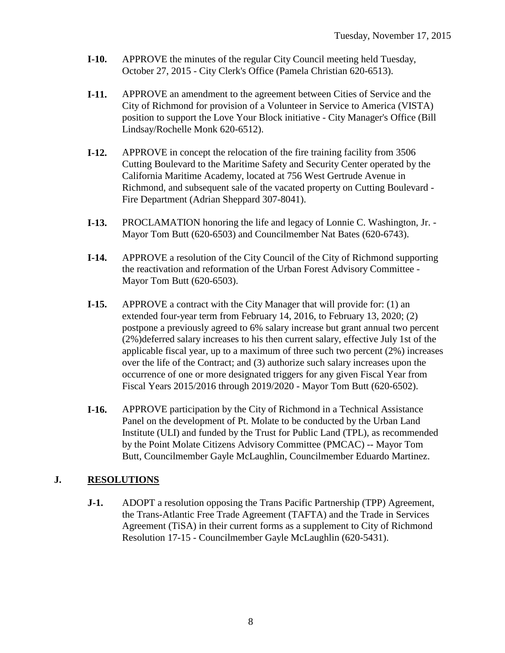- **I-10.** APPROVE the minutes of the regular City Council meeting held Tuesday, October 27, 2015 - City Clerk's Office (Pamela Christian 620-6513).
- **I-11.** APPROVE an amendment to the agreement between Cities of Service and the City of Richmond for provision of a Volunteer in Service to America (VISTA) position to support the Love Your Block initiative - City Manager's Office (Bill Lindsay/Rochelle Monk 620-6512).
- **I-12.** APPROVE in concept the relocation of the fire training facility from 3506 Cutting Boulevard to the Maritime Safety and Security Center operated by the California Maritime Academy, located at 756 West Gertrude Avenue in Richmond, and subsequent sale of the vacated property on Cutting Boulevard - Fire Department (Adrian Sheppard 307-8041).
- **I-13.** PROCLAMATION honoring the life and legacy of Lonnie C. Washington, Jr. Mayor Tom Butt (620-6503) and Councilmember Nat Bates (620-6743).
- **I-14.** APPROVE a resolution of the City Council of the City of Richmond supporting the reactivation and reformation of the Urban Forest Advisory Committee - Mayor Tom Butt (620-6503).
- **I-15.** APPROVE a contract with the City Manager that will provide for: (1) an extended four-year term from February 14, 2016, to February 13, 2020; (2) postpone a previously agreed to 6% salary increase but grant annual two percent (2%)deferred salary increases to his then current salary, effective July 1st of the applicable fiscal year, up to a maximum of three such two percent (2%) increases over the life of the Contract; and (3) authorize such salary increases upon the occurrence of one or more designated triggers for any given Fiscal Year from Fiscal Years 2015/2016 through 2019/2020 - Mayor Tom Butt (620-6502).
- **I-16.** APPROVE participation by the City of Richmond in a Technical Assistance Panel on the development of Pt. Molate to be conducted by the Urban Land Institute (ULI) and funded by the Trust for Public Land (TPL), as recommended by the Point Molate Citizens Advisory Committee (PMCAC) -- Mayor Tom Butt, Councilmember Gayle McLaughlin, Councilmember Eduardo Martinez.

### **J. RESOLUTIONS**

**J-1.** ADOPT a resolution opposing the Trans Pacific Partnership (TPP) Agreement, the Trans-Atlantic Free Trade Agreement (TAFTA) and the Trade in Services Agreement (TiSA) in their current forms as a supplement to City of Richmond Resolution 17-15 - Councilmember Gayle McLaughlin (620-5431).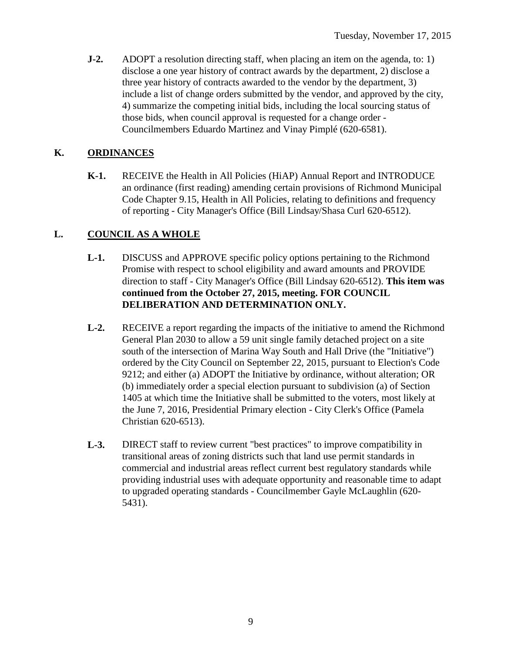**J-2.** ADOPT a resolution directing staff, when placing an item on the agenda, to: 1) disclose a one year history of contract awards by the department, 2) disclose a three year history of contracts awarded to the vendor by the department, 3) include a list of change orders submitted by the vendor, and approved by the city, 4) summarize the competing initial bids, including the local sourcing status of those bids, when council approval is requested for a change order - Councilmembers Eduardo Martinez and Vinay Pimplé (620-6581).

### **K. ORDINANCES**

**K-1.** RECEIVE the Health in All Policies (HiAP) Annual Report and INTRODUCE an ordinance (first reading) amending certain provisions of Richmond Municipal Code Chapter 9.15, Health in All Policies, relating to definitions and frequency of reporting - City Manager's Office (Bill Lindsay/Shasa Curl 620-6512).

### **L. COUNCIL AS A WHOLE**

- **L-1.** DISCUSS and APPROVE specific policy options pertaining to the Richmond Promise with respect to school eligibility and award amounts and PROVIDE direction to staff - City Manager's Office (Bill Lindsay 620-6512). **This item was continued from the October 27, 2015, meeting. FOR COUNCIL DELIBERATION AND DETERMINATION ONLY.**
- **L-2.** RECEIVE a report regarding the impacts of the initiative to amend the Richmond General Plan 2030 to allow a 59 unit single family detached project on a site south of the intersection of Marina Way South and Hall Drive (the "Initiative") ordered by the City Council on September 22, 2015, pursuant to Election's Code 9212; and either (a) ADOPT the Initiative by ordinance, without alteration; OR (b) immediately order a special election pursuant to subdivision (a) of Section 1405 at which time the Initiative shall be submitted to the voters, most likely at the June 7, 2016, Presidential Primary election - City Clerk's Office (Pamela Christian 620-6513).
- **L-3.** DIRECT staff to review current "best practices" to improve compatibility in transitional areas of zoning districts such that land use permit standards in commercial and industrial areas reflect current best regulatory standards while providing industrial uses with adequate opportunity and reasonable time to adapt to upgraded operating standards - Councilmember Gayle McLaughlin (620- 5431).